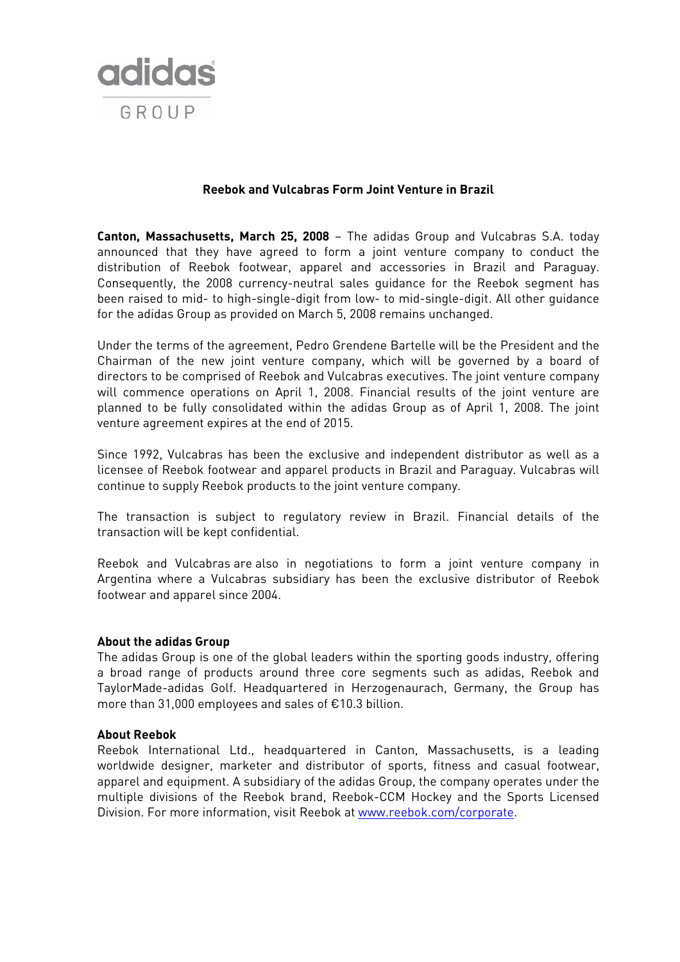

## **Reebok and Vulcabras Form Joint Venture in Brazil**

**Canton, Massachusetts, March 25, 2008** – The adidas Group and Vulcabras S.A. today announced that they have agreed to form a joint venture company to conduct the distribution of Reebok footwear, apparel and accessories in Brazil and Paraguay. Consequently, the 2008 currency-neutral sales guidance for the Reebok segment has been raised to mid- to high-single-digit from low- to mid-single-digit. All other guidance for the adidas Group as provided on March 5, 2008 remains unchanged.

Under the terms of the agreement, Pedro Grendene Bartelle will be the President and the Chairman of the new joint venture company, which will be governed by a board of directors to be comprised of Reebok and Vulcabras executives. The joint venture company will commence operations on April 1, 2008. Financial results of the joint venture are planned to be fully consolidated within the adidas Group as of April 1, 2008. The joint venture agreement expires at the end of 2015.

Since 1992, Vulcabras has been the exclusive and independent distributor as well as a licensee of Reebok footwear and apparel products in Brazil and Paraguay. Vulcabras will continue to supply Reebok products to the joint venture company.

The transaction is subject to regulatory review in Brazil. Financial details of the transaction will be kept confidential.

Reebok and Vulcabras are also in negotiations to form a joint venture company in Argentina where a Vulcabras subsidiary has been the exclusive distributor of Reebok footwear and apparel since 2004.

# **About the adidas Group**

The adidas Group is one of the global leaders within the sporting goods industry, offering a broad range of products around three core segments such as adidas, Reebok and TaylorMade-adidas Golf. Headquartered in Herzogenaurach, Germany, the Group has more than 31,000 employees and sales of €10.3 billion.

### **About Reebok**

Reebok International Ltd., headquartered in Canton, Massachusetts, is a leading worldwide designer, marketer and distributor of sports, fitness and casual footwear, apparel and equipment. A subsidiary of the adidas Group, the company operates under the multiple divisions of the Reebok brand, Reebok-CCM Hockey and the Sports Licensed Division. For more information, visit Reebok at [www.reebok.com/corporate.](http://www.reebok.com/corporate)